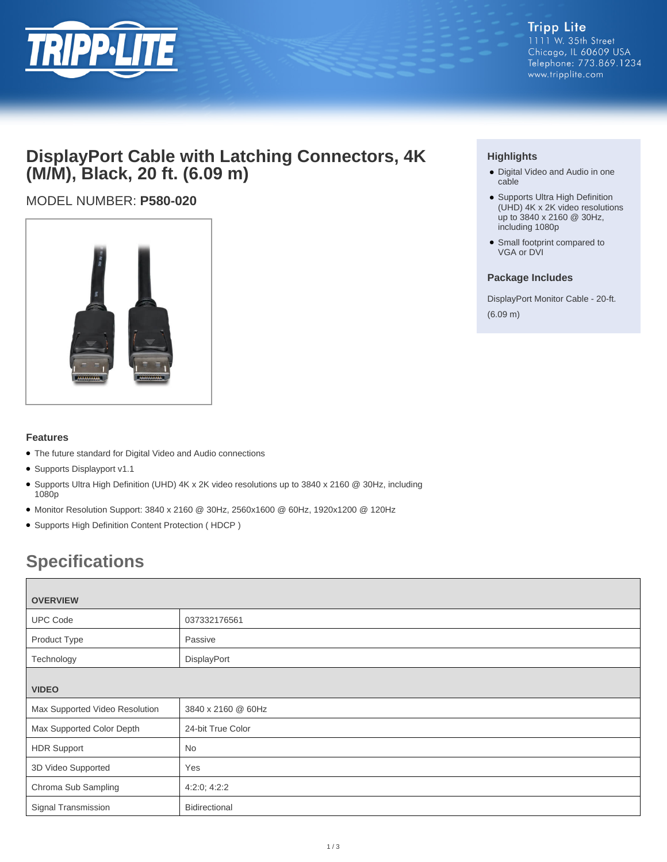

## **DisplayPort Cable with Latching Connectors, 4K (M/M), Black, 20 ft. (6.09 m)**

### MODEL NUMBER: **P580-020**



### **Features**

- The future standard for Digital Video and Audio connections
- Supports Displayport v1.1
- Supports Ultra High Definition (UHD) 4K x 2K video resolutions up to 3840 x 2160 @ 30Hz, including 1080p
- Monitor Resolution Support: 3840 x 2160 @ 30Hz, 2560x1600 @ 60Hz, 1920x1200 @ 120Hz
- Supports High Definition Content Protection ( HDCP )

# **Specifications**

| <b>OVERVIEW</b>                |                    |  |
|--------------------------------|--------------------|--|
| <b>UPC Code</b>                | 037332176561       |  |
| Product Type                   | Passive            |  |
| Technology                     | DisplayPort        |  |
| <b>VIDEO</b>                   |                    |  |
| Max Supported Video Resolution | 3840 x 2160 @ 60Hz |  |
| Max Supported Color Depth      | 24-bit True Color  |  |
| <b>HDR Support</b>             | <b>No</b>          |  |
| 3D Video Supported             | Yes                |  |
| Chroma Sub Sampling            | 4:2:0; 4:2:2       |  |
| Signal Transmission            | Bidirectional      |  |

### **Highlights**

- Digital Video and Audio in one cable
- Supports Ultra High Definition (UHD) 4K x 2K video resolutions up to 3840 x 2160 @ 30Hz, including 1080p
- Small footprint compared to VGA or DVI

#### **Package Includes**

DisplayPort Monitor Cable - 20-ft. (6.09 m)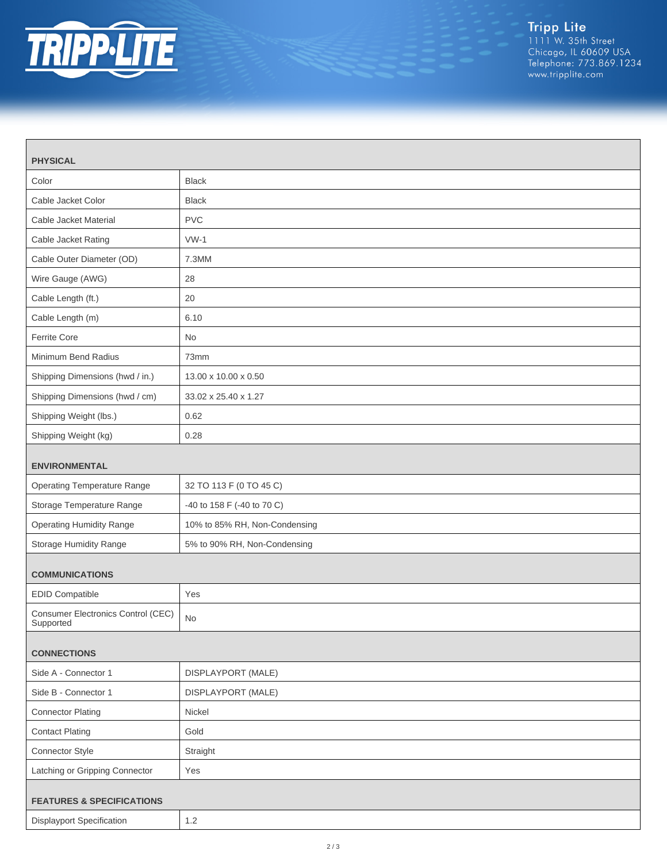

| <b>PHYSICAL</b>                                 |                               |  |
|-------------------------------------------------|-------------------------------|--|
| Color                                           | <b>Black</b>                  |  |
| Cable Jacket Color                              | <b>Black</b>                  |  |
| Cable Jacket Material                           | <b>PVC</b>                    |  |
| Cable Jacket Rating                             | $VW-1$                        |  |
| Cable Outer Diameter (OD)                       | 7.3MM                         |  |
| Wire Gauge (AWG)                                | 28                            |  |
| Cable Length (ft.)                              | 20                            |  |
| Cable Length (m)                                | 6.10                          |  |
| Ferrite Core                                    | <b>No</b>                     |  |
| Minimum Bend Radius                             | 73mm                          |  |
| Shipping Dimensions (hwd / in.)                 | 13.00 x 10.00 x 0.50          |  |
| Shipping Dimensions (hwd / cm)                  | 33.02 x 25.40 x 1.27          |  |
| Shipping Weight (lbs.)                          | 0.62                          |  |
| Shipping Weight (kg)                            | 0.28                          |  |
| <b>ENVIRONMENTAL</b>                            |                               |  |
| <b>Operating Temperature Range</b>              | 32 TO 113 F (0 TO 45 C)       |  |
| Storage Temperature Range                       | -40 to 158 F (-40 to 70 C)    |  |
| <b>Operating Humidity Range</b>                 | 10% to 85% RH, Non-Condensing |  |
| Storage Humidity Range                          | 5% to 90% RH, Non-Condensing  |  |
| <b>COMMUNICATIONS</b>                           |                               |  |
| <b>EDID Compatible</b>                          | Yes                           |  |
| Consumer Electronics Control (CEC)<br>Supported | <b>No</b>                     |  |
| <b>CONNECTIONS</b>                              |                               |  |
| Side A - Connector 1                            | DISPLAYPORT (MALE)            |  |
| Side B - Connector 1                            | DISPLAYPORT (MALE)            |  |
| <b>Connector Plating</b>                        | Nickel                        |  |
| <b>Contact Plating</b>                          | Gold                          |  |
| Connector Style                                 | Straight                      |  |
| Latching or Gripping Connector                  | Yes                           |  |
| <b>FEATURES &amp; SPECIFICATIONS</b>            |                               |  |
| <b>Displayport Specification</b>                | $1.2\,$                       |  |